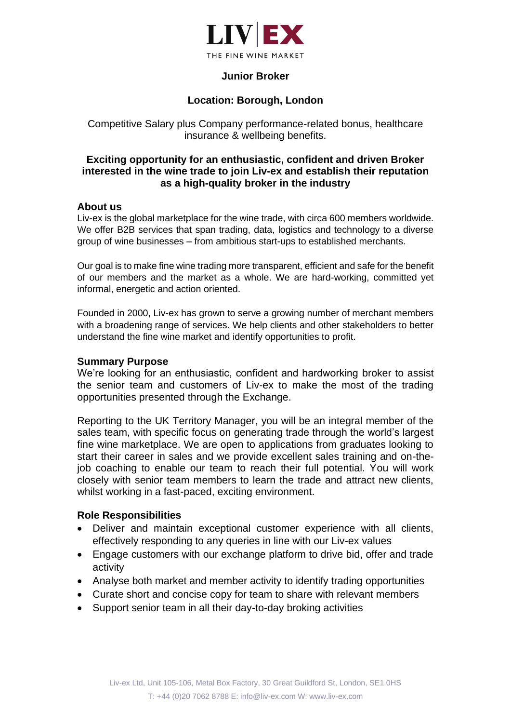

## **Junior Broker**

## **Location: Borough, London**

Competitive Salary plus Company performance-related bonus, healthcare insurance & wellbeing benefits.

### **Exciting opportunity for an enthusiastic, confident and driven Broker interested in the wine trade to join Liv-ex and establish their reputation as a high-quality broker in the industry**

#### **About us**

Liv-ex is the global marketplace for the wine trade, with circa 600 members worldwide. We offer B2B services that span trading, data, logistics and technology to a diverse group of wine businesses – from ambitious start-ups to established merchants.

Our goal is to make fine wine trading more transparent, efficient and safe for the benefit of our members and the market as a whole. We are hard-working, committed yet informal, energetic and action oriented.

Founded in 2000, Liv-ex has grown to serve a growing number of merchant members with a broadening range of services. We help clients and other stakeholders to better understand the fine wine market and identify opportunities to profit.

#### **Summary Purpose**

We're looking for an enthusiastic, confident and hardworking broker to assist the senior team and customers of Liv-ex to make the most of the trading opportunities presented through the Exchange.

Reporting to the UK Territory Manager, you will be an integral member of the sales team, with specific focus on generating trade through the world's largest fine wine marketplace. We are open to applications from graduates looking to start their career in sales and we provide excellent sales training and on-thejob coaching to enable our team to reach their full potential. You will work closely with senior team members to learn the trade and attract new clients, whilst working in a fast-paced, exciting environment.

### **Role Responsibilities**

- Deliver and maintain exceptional customer experience with all clients, effectively responding to any queries in line with our Liv-ex values
- Engage customers with our exchange platform to drive bid, offer and trade activity
- Analyse both market and member activity to identify trading opportunities
- Curate short and concise copy for team to share with relevant members
- Support senior team in all their day-to-day broking activities